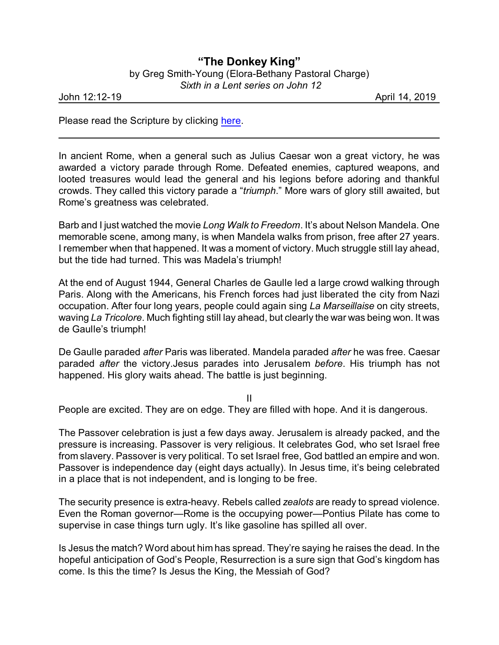## **"The Donkey King"**

by Greg Smith-Young (Elora-Bethany Pastoral Charge)  *Sixth in a Lent series on John 12*

John 12:12-19 April 14, 2019

Please read the Scripture by clicking [here](https://www.biblegateway.com/passage/?search=JOhn+12%3A12-19&version=CEB).

In ancient Rome, when a general such as Julius Caesar won a great victory, he was awarded a victory parade through Rome. Defeated enemies, captured weapons, and looted treasures would lead the general and his legions before adoring and thankful crowds. They called this victory parade a "*triumph*." More wars of glory still awaited, but Rome's greatness was celebrated.

Barb and I just watched the movie *Long Walk to Freedom*. It's about Nelson Mandela. One memorable scene, among many, is when Mandela walks from prison, free after 27 years. I remember when that happened. It was a moment of victory. Much struggle still lay ahead, but the tide had turned. This was Madela's triumph!

At the end of August 1944, General Charles de Gaulle led a large crowd walking through Paris. Along with the Americans, his French forces had just liberated the city from Nazi occupation. After four long years, people could again sing *La Marseillaise* on city streets, waving *La Tricolore*. Much fighting still lay ahead, but clearly the war was being won. It was de Gaulle's triumph!

De Gaulle paraded *after* Paris was liberated. Mandela paraded *after* he was free. Caesar paraded *after* the victory.Jesus parades into Jerusalem *before*. His triumph has not happened. His glory waits ahead. The battle is just beginning.

II

People are excited. They are on edge. They are filled with hope. And it is dangerous.

The Passover celebration is just a few days away. Jerusalem is already packed, and the pressure is increasing. Passover is very religious. It celebrates God, who set Israel free from slavery. Passover is very political. To set Israel free, God battled an empire and won. Passover is independence day (eight days actually). In Jesus time, it's being celebrated in a place that is not independent, and is longing to be free.

The security presence is extra-heavy. Rebels called *zealots* are ready to spread violence. Even the Roman governor—Rome is the occupying power—Pontius Pilate has come to supervise in case things turn ugly. It's like gasoline has spilled all over.

Is Jesus the match? Word about him has spread. They're saying he raises the dead. In the hopeful anticipation of God's People, Resurrection is a sure sign that God's kingdom has come. Is this the time? Is Jesus the King, the Messiah of God?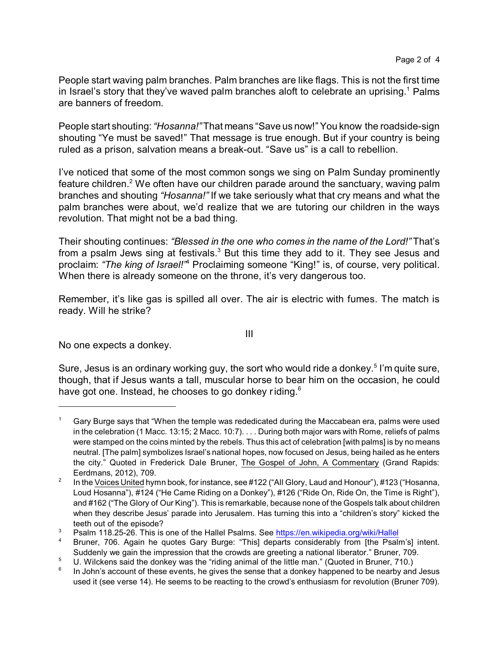People start waving palm branches. Palm branches are like flags. This is not the first time in Israel's story that they've waved palm branches aloft to celebrate an uprising.<sup>1</sup> Palms are banners of freedom.

People start shouting: *"Hosanna!"*That means "Save us now!" You know the roadside-sign shouting "Ye must be saved!" That message is true enough. But if your country is being ruled as a prison, salvation means a break-out. "Save us" is a call to rebellion.

I've noticed that some of the most common songs we sing on Palm Sunday prominently feature children.<sup>2</sup> We often have our children parade around the sanctuary, waving palm branches and shouting *"Hosanna!"* If we take seriously what that cry means and what the palm branches were about, we'd realize that we are tutoring our children in the ways revolution. That might not be a bad thing.

Their shouting continues: *"Blessed in the one who comes in the name of the Lord!"* That's from a psalm Jews sing at festivals. $3$  But this time they add to it. They see Jesus and proclaim: *"The king of Israel!"*<sup>4</sup> Proclaiming someone "King!" is, of course, very political. When there is already someone on the throne, it's very dangerous too.

Remember, it's like gas is spilled all over. The air is electric with fumes. The match is ready. Will he strike?

III

No one expects a donkey.

Sure, Jesus is an ordinary working guy, the sort who would ride a donkey.<sup>5</sup> I'm quite sure, though, that if Jesus wants a tall, muscular horse to bear him on the occasion, he could have got one. Instead, he chooses to go donkey riding.<sup>6</sup>

<sup>1</sup> Gary Burge says that "When the temple was rededicated during the Maccabean era, palms were used in the celebration (1 Macc. 13:15; 2 Macc. 10:7). . . . During both major wars with Rome, reliefs of palms were stamped on the coins minted by the rebels. Thus this act of celebration [with palms] is by no means neutral. [The palm] symbolizes Israel's national hopes, now focused on Jesus, being hailed as he enters the city." Quoted in Frederick Dale Bruner, The Gospel of John, A Commentary (Grand Rapids: Eerdmans, 2012), 709.

<sup>2</sup> In the Voices United hymn book, for instance, see #122 ("All Glory, Laud and Honour"), #123 ("Hosanna, Loud Hosanna"), #124 ("He Came Riding on a Donkey"), #126 ("Ride On, Ride On, the Time is Right"), and #162 ("The Glory of Our King"). This is remarkable, because none of the Gospels talk about children when they describe Jesus' parade into Jerusalem. Has turning this into a "children's story" kicked the teeth out of the episode?

<sup>&</sup>lt;sup>3</sup> Psalm 118.25-26. This is one of the Hallel Psalms. See<https://en.wikipedia.org/wiki/Hallel>

Bruner, 706. Again he quotes Gary Burge: "This] departs considerably from [the Psalm's] intent. Suddenly we gain the impression that the crowds are greeting a national liberator." Bruner, 709.

 $5$  U. Wilckens said the donkey was the "riding animal of the little man." (Quoted in Bruner, 710.)

<sup>6</sup> In John's account of these events, he gives the sense that a donkey happened to be nearby and Jesus used it (see verse 14). He seems to be reacting to the crowd's enthusiasm for revolution (Bruner 709).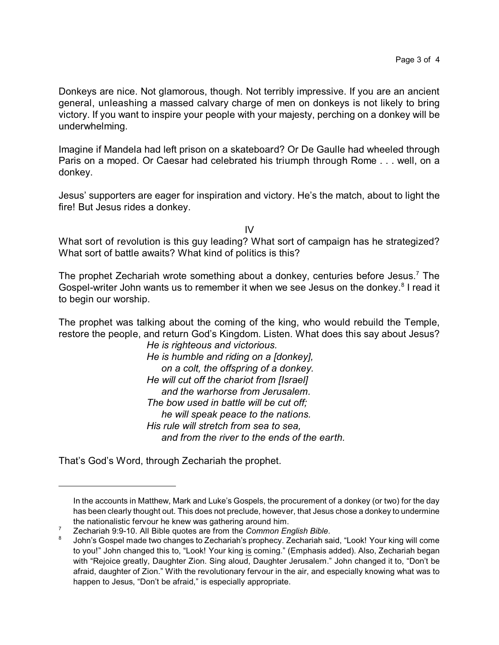Donkeys are nice. Not glamorous, though. Not terribly impressive. If you are an ancient general, unleashing a massed calvary charge of men on donkeys is not likely to bring victory. If you want to inspire your people with your majesty, perching on a donkey will be underwhelming.

Imagine if Mandela had left prison on a skateboard? Or De Gaulle had wheeled through Paris on a moped. Or Caesar had celebrated his triumph through Rome . . . well, on a donkey.

Jesus' supporters are eager for inspiration and victory. He's the match, about to light the fire! But Jesus rides a donkey.

IV

What sort of revolution is this guy leading? What sort of campaign has he strategized? What sort of battle awaits? What kind of politics is this?

The prophet Zechariah wrote something about a donkey, centuries before Jesus.<sup>7</sup> The Gospel-writer John wants us to remember it when we see Jesus on the donkey.<sup>8</sup> I read it to begin our worship.

The prophet was talking about the coming of the king, who would rebuild the Temple, restore the people, and return God's Kingdom. Listen. What does this say about Jesus?

*He is righteous and victorious. He is humble and riding on a [donkey], on a colt, the offspring of a donkey. He will cut off the chariot from [Israel] and the warhorse from Jerusalem. The bow used in battle will be cut off; he will speak peace to the nations. His rule will stretch from sea to sea, and from the river to the ends of the earth.*

That's God's Word, through Zechariah the prophet.

In the accounts in Matthew, Mark and Luke's Gospels, the procurement of a donkey (or two) for the day has been clearly thought out. This does not preclude, however, that Jesus chose a donkey to undermine the nationalistic fervour he knew was gathering around him.

<sup>7</sup> Zechariah 9:9-10. All Bible quotes are from the *Common English Bible*.

<sup>8</sup> John's Gospel made two changes to Zechariah's prophecy. Zechariah said, "Look! Your king will come to you!" John changed this to, "Look! Your king is coming." (Emphasis added). Also, Zechariah began with "Rejoice greatly, Daughter Zion. Sing aloud, Daughter Jerusalem." John changed it to, "Don't be afraid, daughter of Zion." With the revolutionary fervour in the air, and especially knowing what was to happen to Jesus, "Don't be afraid," is especially appropriate.